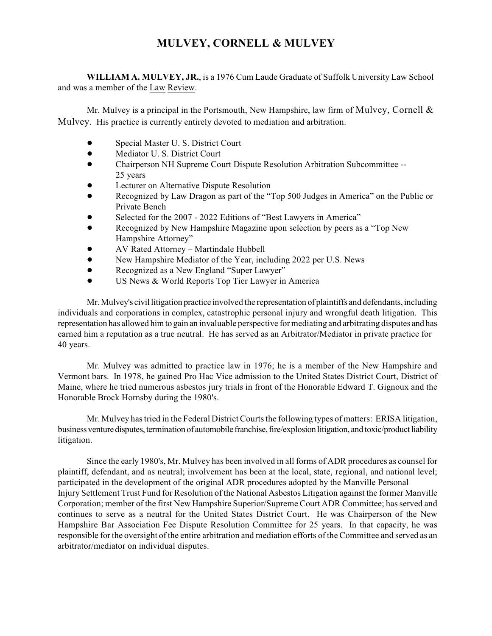## **MULVEY, CORNELL & MULVEY**

**WILLIAM A. MULVEY, JR.**, is a 1976 Cum Laude Graduate of Suffolk University Law School and was a member of the Law Review.

Mr. Mulvey is a principal in the Portsmouth, New Hampshire, law firm of Mulvey, Cornell  $\&$ Mulvey. His practice is currently entirely devoted to mediation and arbitration.

- ! Special Master U. S. District Court
- $\bullet$  Mediator U. S. District Court
- ! Chairperson NH Supreme Court Dispute Resolution Arbitration Subcommittee -- 25 years
- Lecturer on Alternative Dispute Resolution
- Recognized by Law Dragon as part of the "Top 500 Judges in America" on the Public or Private Bench
- Selected for the 2007 2022 Editions of "Best Lawyers in America"
- Recognized by New Hampshire Magazine upon selection by peers as a "Top New Hampshire Attorney"
- ! AV Rated Attorney Martindale Hubbell
- ! New Hampshire Mediator of the Year, including 2022 per U.S. News
- Recognized as a New England "Super Lawyer"
- **. US News & World Reports Top Tier Lawyer in America**

Mr. Mulvey's civil litigation practice involved the representation of plaintiffs and defendants, including individuals and corporations in complex, catastrophic personal injury and wrongful death litigation. This representation has allowed him to gain an invaluable perspective for mediating and arbitrating disputes and has earned him a reputation as a true neutral. He has served as an Arbitrator/Mediator in private practice for 40 years.

Mr. Mulvey was admitted to practice law in 1976; he is a member of the New Hampshire and Vermont bars. In 1978, he gained Pro Hac Vice admission to the United States District Court, District of Maine, where he tried numerous asbestos jury trials in front of the Honorable Edward T. Gignoux and the Honorable Brock Hornsby during the 1980's.

Mr. Mulvey has tried in the Federal District Courts the following types of matters: ERISA litigation, business venture disputes, termination of automobile franchise, fire/explosion litigation, and toxic/product liability litigation.

Since the early 1980's, Mr. Mulvey has been involved in all forms of ADR procedures as counsel for plaintiff, defendant, and as neutral; involvement has been at the local, state, regional, and national level; participated in the development of the original ADR procedures adopted by the Manville Personal Injury Settlement Trust Fund for Resolution of the National Asbestos Litigation against the former Manville Corporation; member of the first New Hampshire Superior/Supreme Court ADR Committee; hasserved and continues to serve as a neutral for the United States District Court. He was Chairperson of the New Hampshire Bar Association Fee Dispute Resolution Committee for 25 years. In that capacity, he was responsible for the oversight of the entire arbitration and mediation efforts of the Committee and served as an arbitrator/mediator on individual disputes.